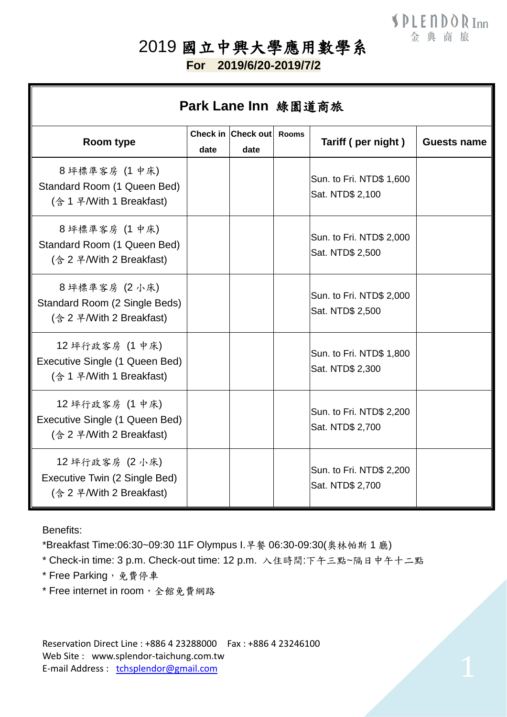## 2019 國立中興大學應用數學系

**For 2019/6/20-2019/7/2**

| Park Lane Inn 綠園道商旅                                                           |      |                            |              |                                              |                    |  |
|-------------------------------------------------------------------------------|------|----------------------------|--------------|----------------------------------------------|--------------------|--|
| Room type                                                                     | date | Check in Check out<br>date | <b>Rooms</b> | Tariff (per night)                           | <b>Guests name</b> |  |
| 8坪標準客房 (1 中床)<br>Standard Room (1 Queen Bed)<br>(含 1 早/With 1 Breakfast)      |      |                            |              | Sun. to Fri. NTD\$ 1,600<br>Sat. NTD\$ 2,100 |                    |  |
| 8坪標準客房 (1 中床)<br>Standard Room (1 Queen Bed)<br>(송 2 쿠/With 2 Breakfast)      |      |                            |              | Sun. to Fri. NTD\$ 2,000<br>Sat. NTD\$ 2,500 |                    |  |
| 8坪標準客房 (2小床)<br>Standard Room (2 Single Beds)<br>(송 2 부/With 2 Breakfast)     |      |                            |              | Sun. to Fri. NTD\$ 2,000<br>Sat. NTD\$ 2,500 |                    |  |
| 12 坪行政客房 (1 中床)<br>Executive Single (1 Queen Bed)<br>(含 1 早/With 1 Breakfast) |      |                            |              | Sun. to Fri. NTD\$ 1,800<br>Sat. NTD\$ 2,300 |                    |  |
| 12 坪行政客房 (1 中床)<br>Executive Single (1 Queen Bed)<br>(송 2 부/With 2 Breakfast) |      |                            |              | Sun. to Fri. NTD\$ 2,200<br>Sat. NTD\$ 2,700 |                    |  |
| 12 坪行政客房 (2 小床)<br>Executive Twin (2 Single Bed)<br>(송 2 早/With 2 Breakfast)  |      |                            |              | Sun. to Fri. NTD\$ 2,200<br>Sat. NTD\$ 2,700 |                    |  |

Benefits:

\*Breakfast Time:06:30~09:30 11F Olympus I.早餐 06:30-09:30(奧林帕斯 1 廳)

\* Check-in time: 3 p.m. Check-out time: 12 p.m. 入住時間:下午三點~隔日中午十二點

\* Free Parking, 免費停車

\* Free internet in room, 全館免費網路

Reservation Direct Line : +886 4 23288000 Fax : +886 4 23246100 Web Site : www.splendor-taichung.com.tw E-mail Address : tchsplendor@gmail.com